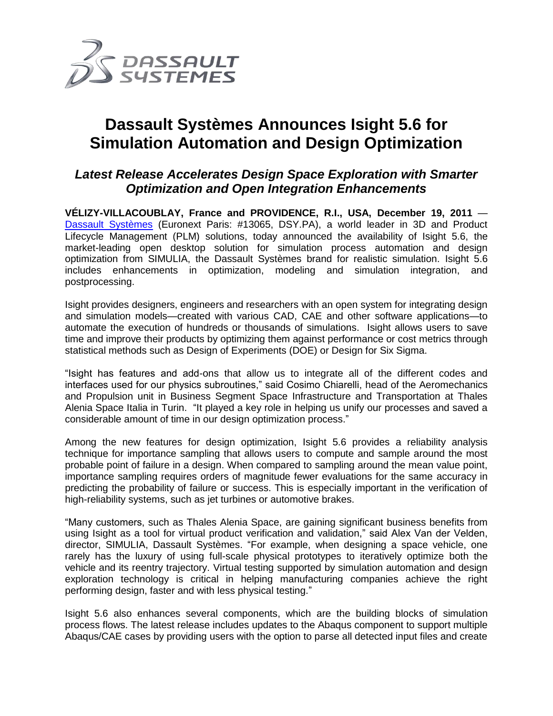

## **Dassault Systèmes Announces Isight 5.6 for Simulation Automation and Design Optimization**

## *Latest Release Accelerates Design Space Exploration with Smarter Optimization and Open Integration Enhancements*

**VÉLIZY-VILLACOUBLAY, France and PROVIDENCE, R.I., USA, December 19, 2011** — [Dassault Systèmes](http://www.3ds.com/) (Euronext Paris: #13065, DSY.PA), a world leader in 3D and Product Lifecycle Management (PLM) solutions, today announced the availability of Isight 5.6, the market-leading open desktop solution for simulation process automation and design optimization from SIMULIA, the Dassault Systèmes brand for realistic simulation. Isight 5.6 includes enhancements in optimization, modeling and simulation integration, and postprocessing.

Isight provides designers, engineers and researchers with an open system for integrating design and simulation models—created with various CAD, CAE and other software applications—to automate the execution of hundreds or thousands of simulations. Isight allows users to save time and improve their products by optimizing them against performance or cost metrics through statistical methods such as Design of Experiments (DOE) or Design for Six Sigma.

"Isight has features and add-ons that allow us to integrate all of the different codes and interfaces used for our physics subroutines," said Cosimo Chiarelli, head of the Aeromechanics and Propulsion unit in Business Segment Space Infrastructure and Transportation at Thales Alenia Space Italia in Turin. "It played a key role in helping us unify our processes and saved a considerable amount of time in our design optimization process."

Among the new features for design optimization, Isight 5.6 provides a reliability analysis technique for importance sampling that allows users to compute and sample around the most probable point of failure in a design. When compared to sampling around the mean value point, importance sampling requires orders of magnitude fewer evaluations for the same accuracy in predicting the probability of failure or success. This is especially important in the verification of high-reliability systems, such as jet turbines or automotive brakes.

"Many customers, such as Thales Alenia Space, are gaining significant business benefits from using Isight as a tool for virtual product verification and validation," said Alex Van der Velden, director, SIMULIA, Dassault Systèmes. "For example, when designing a space vehicle, one rarely has the luxury of using full-scale physical prototypes to iteratively optimize both the vehicle and its reentry trajectory. Virtual testing supported by simulation automation and design exploration technology is critical in helping manufacturing companies achieve the right performing design, faster and with less physical testing."

Isight 5.6 also enhances several components, which are the building blocks of simulation process flows. The latest release includes updates to the Abaqus component to support multiple Abaqus/CAE cases by providing users with the option to parse all detected input files and create